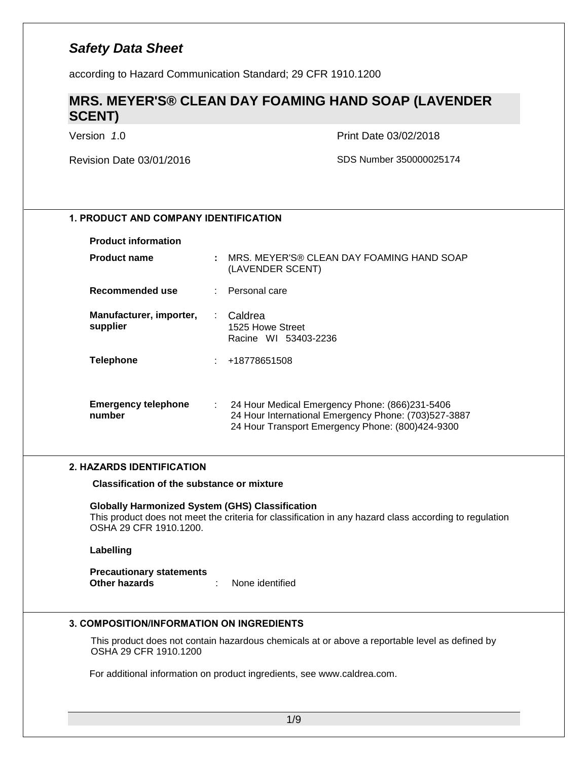according to Hazard Communication Standard; 29 CFR 1910.1200

### **MRS. MEYER'S® CLEAN DAY FOAMING HAND SOAP (LAVENDER SCENT)**

Version *1*.0 Print Date 03/02/2018

Revision Date 03/01/2016 SDS Number 350000025174

### **1. PRODUCT AND COMPANY IDENTIFICATION**

#### **Product information**

| <b>Product name</b>                  |      | MRS. MEYER'S® CLEAN DAY FOAMING HAND SOAP<br>(LAVENDER SCENT)                                                                                              |
|--------------------------------------|------|------------------------------------------------------------------------------------------------------------------------------------------------------------|
| Recommended use                      |      | : Personal care                                                                                                                                            |
| Manufacturer, importer,<br>supplier  |      | : Caldrea<br>1525 Howe Street<br>Racine WI 53403-2236                                                                                                      |
| <b>Telephone</b>                     |      | : 418778651508                                                                                                                                             |
| <b>Emergency telephone</b><br>number | t in | 24 Hour Medical Emergency Phone: (866)231-5406<br>24 Hour International Emergency Phone: (703)527-3887<br>24 Hour Transport Emergency Phone: (800)424-9300 |

#### **2. HAZARDS IDENTIFICATION**

**Classification of the substance or mixture**

**Globally Harmonized System (GHS) Classification** This product does not meet the criteria for classification in any hazard class according to regulation OSHA 29 CFR 1910.1200.

#### **Labelling**

**Precautionary statements Other hazards** : None identified

#### **3. COMPOSITION/INFORMATION ON INGREDIENTS**

This product does not contain hazardous chemicals at or above a reportable level as defined by OSHA 29 CFR 1910.1200

For additional information on product ingredients, see www.caldrea.com.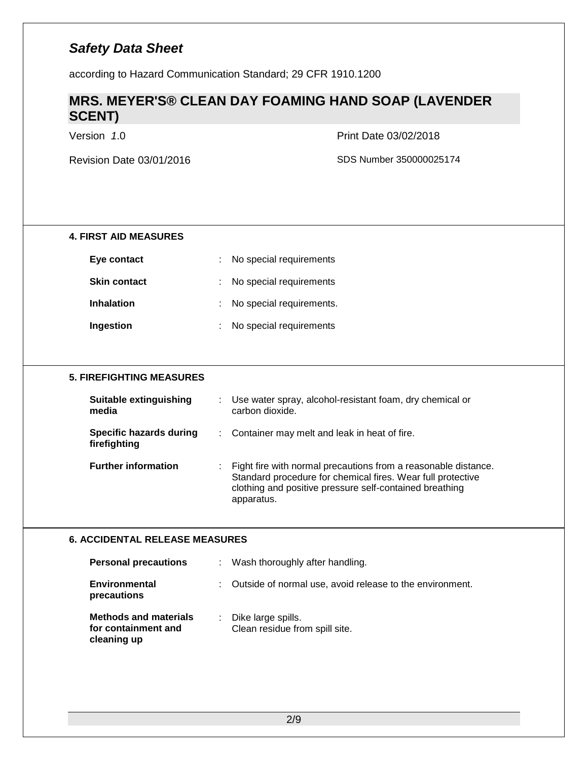according to Hazard Communication Standard; 29 CFR 1910.1200

### **MRS. MEYER'S® CLEAN DAY FOAMING HAND SOAP (LAVENDER SCENT)**

Version *1*.0 Print Date 03/02/2018

| <b>4. FIRST AID MEASURES</b>                                       |                                                                                                                                                                                                        |
|--------------------------------------------------------------------|--------------------------------------------------------------------------------------------------------------------------------------------------------------------------------------------------------|
| Eye contact                                                        | No special requirements                                                                                                                                                                                |
| <b>Skin contact</b>                                                | No special requirements                                                                                                                                                                                |
| <b>Inhalation</b>                                                  | No special requirements.                                                                                                                                                                               |
| Ingestion                                                          | No special requirements                                                                                                                                                                                |
|                                                                    |                                                                                                                                                                                                        |
| <b>5. FIREFIGHTING MEASURES</b>                                    |                                                                                                                                                                                                        |
| Suitable extinguishing<br>media                                    | Use water spray, alcohol-resistant foam, dry chemical or<br>carbon dioxide.                                                                                                                            |
| <b>Specific hazards during</b><br>firefighting                     | Container may melt and leak in heat of fire.                                                                                                                                                           |
| <b>Further information</b>                                         | Fight fire with normal precautions from a reasonable distance.<br>Standard procedure for chemical fires. Wear full protective<br>clothing and positive pressure self-contained breathing<br>apparatus. |
| <b>6. ACCIDENTAL RELEASE MEASURES</b>                              |                                                                                                                                                                                                        |
| <b>Personal precautions</b>                                        | Wash thoroughly after handling.                                                                                                                                                                        |
| <b>Environmental</b><br>precautions                                | Outside of normal use, avoid release to the environment.                                                                                                                                               |
| <b>Methods and materials</b><br>for containment and<br>cleaning up | Dike large spills.<br>Clean residue from spill site.                                                                                                                                                   |
|                                                                    |                                                                                                                                                                                                        |
|                                                                    |                                                                                                                                                                                                        |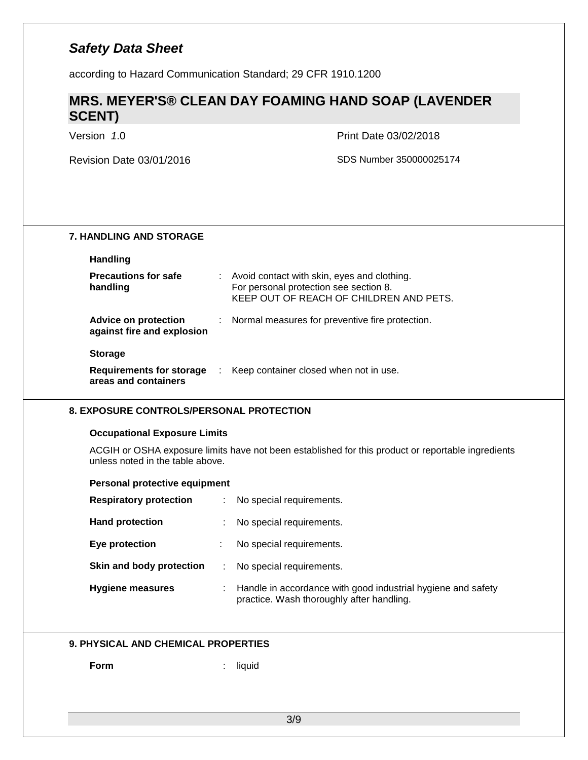according to Hazard Communication Standard; 29 CFR 1910.1200

### **MRS. MEYER'S® CLEAN DAY FOAMING HAND SOAP (LAVENDER SCENT)**

Version *1*.0 Print Date 03/02/2018

| <b>7. HANDLING AND STORAGE</b>                            |                                                                                                                                  |
|-----------------------------------------------------------|----------------------------------------------------------------------------------------------------------------------------------|
| <b>Handling</b>                                           |                                                                                                                                  |
| <b>Precautions for safe</b><br>handling                   | Avoid contact with skin, eyes and clothing.<br>For personal protection see section 8.<br>KEEP OUT OF REACH OF CHILDREN AND PETS. |
| <b>Advice on protection</b><br>against fire and explosion | Normal measures for preventive fire protection.                                                                                  |
| <b>Storage</b>                                            |                                                                                                                                  |
| <b>Requirements for storage</b><br>areas and containers   | Keep container closed when not in use.<br>$\sim 200$                                                                             |
| <b>8. EXPOSURE CONTROLS/PERSONAL PROTECTION</b>           |                                                                                                                                  |
| <b>Occupational Exposure Limits</b>                       |                                                                                                                                  |
| unless noted in the table above.                          | ACGIH or OSHA exposure limits have not been established for this product or reportable ingredients                               |
| Personal protective equipment                             |                                                                                                                                  |
| <b>Respiratory protection</b>                             | No special requirements.                                                                                                         |
| <b>Hand protection</b>                                    | No special requirements.                                                                                                         |
| Eye protection                                            | No special requirements.                                                                                                         |
| Skin and body protection                                  | No special requirements.                                                                                                         |
| <b>Hygiene measures</b>                                   | Handle in accordance with good industrial hygiene and safety<br>practice. Wash thoroughly after handling.                        |
| <b>9. PHYSICAL AND CHEMICAL PROPERTIES</b>                |                                                                                                                                  |
| Form                                                      | liquid                                                                                                                           |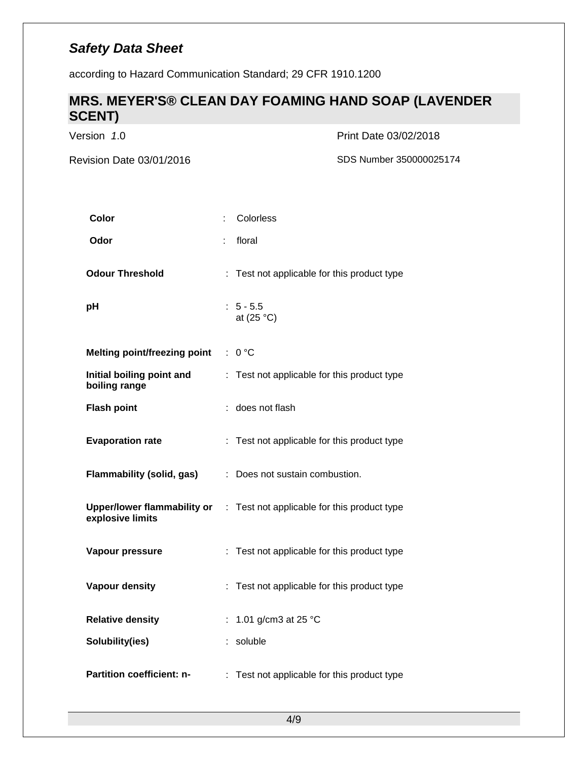according to Hazard Communication Standard; 29 CFR 1910.1200

### **MRS. MEYER'S® CLEAN DAY FOAMING HAND SOAP (LAVENDER SCENT)**

Version *1*.0 Print Date 03/02/2018

| Color                                           | Colorless                                       |
|-------------------------------------------------|-------------------------------------------------|
| Odor                                            | floral                                          |
| <b>Odour Threshold</b>                          | : Test not applicable for this product type     |
| pH                                              | $: 5 - 5.5$<br>at $(25 °C)$                     |
| <b>Melting point/freezing point</b>             | : 0 °C                                          |
| Initial boiling point and<br>boiling range      | Test not applicable for this product type       |
| <b>Flash point</b>                              | does not flash                                  |
| <b>Evaporation rate</b>                         | : Test not applicable for this product type     |
| <b>Flammability (solid, gas)</b>                | : Does not sustain combustion.                  |
| Upper/lower flammability or<br>explosive limits | Test not applicable for this product type<br>÷. |
| Vapour pressure                                 | : Test not applicable for this product type     |
| Vapour density                                  | Test not applicable for this product type       |
| <b>Relative density</b>                         | 1.01 g/cm3 at 25 °C<br>÷                        |
| Solubility(ies)                                 | soluble                                         |
| Partition coefficient: n-                       | Test not applicable for this product type       |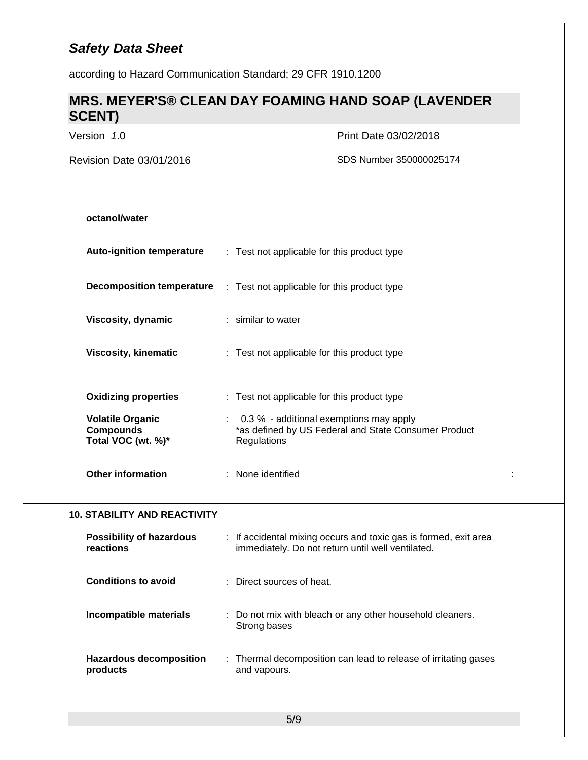according to Hazard Communication Standard; 29 CFR 1910.1200

# **MRS. MEYER'S® CLEAN DAY FOAMING HAND SOAP (LAVENDER SCENT)**

| Version 1.0                                                       | Print Date 03/02/2018                                                                                                 |
|-------------------------------------------------------------------|-----------------------------------------------------------------------------------------------------------------------|
| Revision Date 03/01/2016                                          | SDS Number 350000025174                                                                                               |
|                                                                   |                                                                                                                       |
| octanol/water                                                     |                                                                                                                       |
| <b>Auto-ignition temperature</b>                                  | : Test not applicable for this product type                                                                           |
| <b>Decomposition temperature</b>                                  | : Test not applicable for this product type                                                                           |
| Viscosity, dynamic                                                | : similar to water                                                                                                    |
| <b>Viscosity, kinematic</b>                                       | : Test not applicable for this product type                                                                           |
| <b>Oxidizing properties</b>                                       | : Test not applicable for this product type                                                                           |
| <b>Volatile Organic</b><br><b>Compounds</b><br>Total VOC (wt. %)* | 0.3 % - additional exemptions may apply<br>*as defined by US Federal and State Consumer Product<br>Regulations        |
| <b>Other information</b>                                          | : None identified                                                                                                     |
| <b>10. STABILITY AND REACTIVITY</b>                               |                                                                                                                       |
| <b>Possibility of hazardous</b><br>reactions                      | : If accidental mixing occurs and toxic gas is formed, exit area<br>immediately. Do not return until well ventilated. |
| <b>Conditions to avoid</b>                                        | Direct sources of heat.                                                                                               |
| Incompatible materials                                            | : Do not mix with bleach or any other household cleaners.<br>Strong bases                                             |
| <b>Hazardous decomposition</b><br>products                        | : Thermal decomposition can lead to release of irritating gases<br>and vapours.                                       |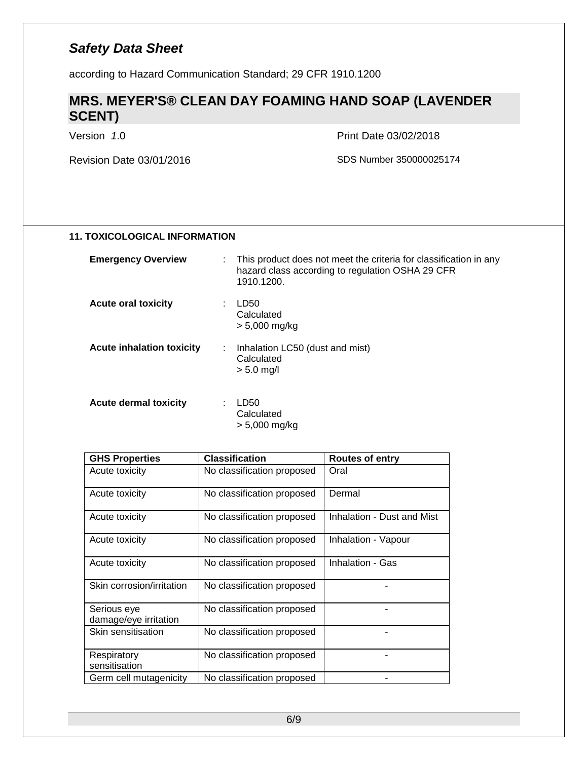according to Hazard Communication Standard; 29 CFR 1910.1200

### **MRS. MEYER'S® CLEAN DAY FOAMING HAND SOAP (LAVENDER SCENT)**

Version *1*.0 Print Date 03/02/2018

Revision Date 03/01/2016 SDS Number 350000025174

| <b>11. TOXICOLOGICAL INFORMATION</b> |  |  |
|--------------------------------------|--|--|
|--------------------------------------|--|--|

| <b>Emergency Overview</b>        | : This product does not meet the criteria for classification in any<br>hazard class according to regulation OSHA 29 CFR<br>1910.1200. |
|----------------------------------|---------------------------------------------------------------------------------------------------------------------------------------|
| <b>Acute oral toxicity</b>       | LD50<br>Calculated<br>> 5,000 mg/kg                                                                                                   |
| <b>Acute inhalation toxicity</b> | Inhalation LC50 (dust and mist)<br>Calculated<br>$> 5.0$ mg/l                                                                         |
| Acute dermal toxicity            | LD50<br>Calculated                                                                                                                    |

| <b>GHS Properties</b>                | <b>Classification</b>      | <b>Routes of entry</b>     |
|--------------------------------------|----------------------------|----------------------------|
| Acute toxicity                       | No classification proposed | Oral                       |
| Acute toxicity                       | No classification proposed | Dermal                     |
| Acute toxicity                       | No classification proposed | Inhalation - Dust and Mist |
| Acute toxicity                       | No classification proposed | Inhalation - Vapour        |
| Acute toxicity                       | No classification proposed | Inhalation - Gas           |
| Skin corrosion/irritation            | No classification proposed |                            |
| Serious eye<br>damage/eye irritation | No classification proposed |                            |
| Skin sensitisation                   | No classification proposed |                            |
| Respiratory<br>sensitisation         | No classification proposed |                            |
| Germ cell mutagenicity               | No classification proposed |                            |

> 5,000 mg/kg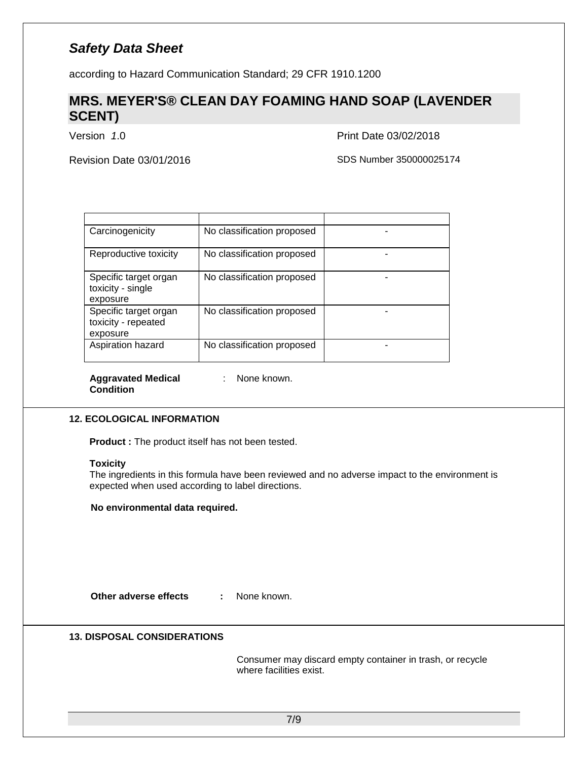according to Hazard Communication Standard; 29 CFR 1910.1200

### **MRS. MEYER'S® CLEAN DAY FOAMING HAND SOAP (LAVENDER SCENT)**

Version *1*.0 Print Date 03/02/2018

Revision Date 03/01/2016 SDS Number 350000025174

| Carcinogenicity                                          | No classification proposed |  |
|----------------------------------------------------------|----------------------------|--|
| Reproductive toxicity                                    | No classification proposed |  |
| Specific target organ<br>toxicity - single<br>exposure   | No classification proposed |  |
| Specific target organ<br>toxicity - repeated<br>exposure | No classification proposed |  |
| Aspiration hazard                                        | No classification proposed |  |

**Aggravated Medical Condition**

: None known.

#### **12. ECOLOGICAL INFORMATION**

**Product :** The product itself has not been tested.

#### **Toxicity**

The ingredients in this formula have been reviewed and no adverse impact to the environment is expected when used according to label directions.

#### **No environmental data required.**

**Other adverse effects :** None known.

#### **13. DISPOSAL CONSIDERATIONS**

Consumer may discard empty container in trash, or recycle where facilities exist.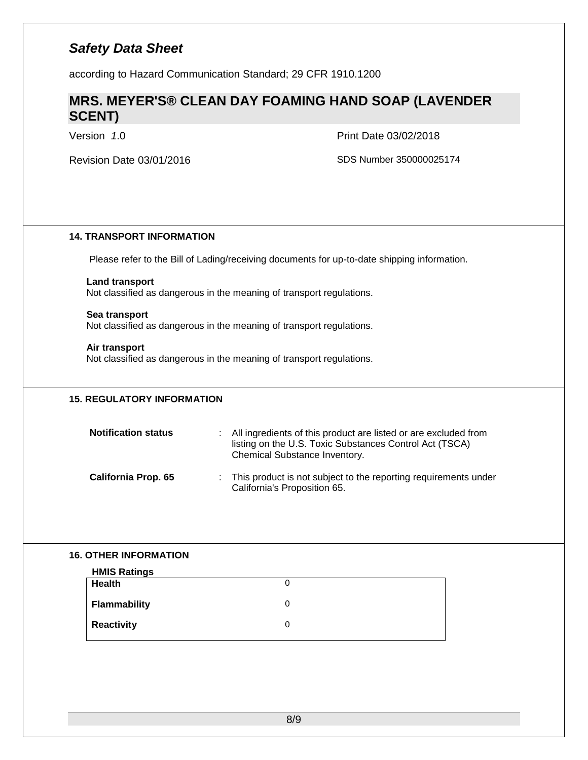according to Hazard Communication Standard; 29 CFR 1910.1200

### **MRS. MEYER'S® CLEAN DAY FOAMING HAND SOAP (LAVENDER SCENT)**

Version *1*.0 Print Date 03/02/2018

| <b>14. TRANSPORT INFORMATION</b>     |                                                                                                                                                                  |
|--------------------------------------|------------------------------------------------------------------------------------------------------------------------------------------------------------------|
|                                      | Please refer to the Bill of Lading/receiving documents for up-to-date shipping information.                                                                      |
| <b>Land transport</b>                | Not classified as dangerous in the meaning of transport regulations.                                                                                             |
| Sea transport                        | Not classified as dangerous in the meaning of transport regulations.                                                                                             |
| Air transport                        | Not classified as dangerous in the meaning of transport regulations.                                                                                             |
| <b>15. REGULATORY INFORMATION</b>    |                                                                                                                                                                  |
| <b>Notification status</b>           | All ingredients of this product are listed or are excluded from<br>÷<br>listing on the U.S. Toxic Substances Control Act (TSCA)<br>Chemical Substance Inventory. |
| California Prop. 65                  | This product is not subject to the reporting requirements under<br>÷<br>California's Proposition 65.                                                             |
|                                      |                                                                                                                                                                  |
| <b>16. OTHER INFORMATION</b>         |                                                                                                                                                                  |
| <b>HMIS Ratings</b><br><b>Health</b> | $\mathbf 0$                                                                                                                                                      |
| <b>Flammability</b>                  | $\mathbf 0$                                                                                                                                                      |
| <b>Reactivity</b>                    | $\mathbf 0$                                                                                                                                                      |
|                                      |                                                                                                                                                                  |
|                                      |                                                                                                                                                                  |
|                                      |                                                                                                                                                                  |
|                                      |                                                                                                                                                                  |